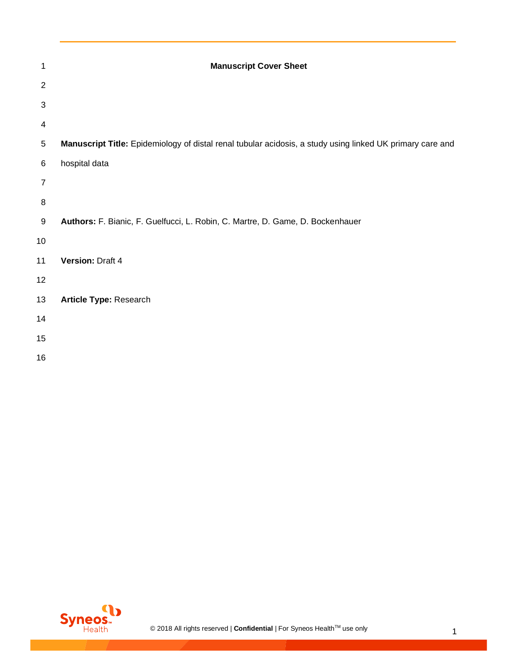| 1                | <b>Manuscript Cover Sheet</b>                                                                             |
|------------------|-----------------------------------------------------------------------------------------------------------|
| $\overline{2}$   |                                                                                                           |
| 3                |                                                                                                           |
| 4                |                                                                                                           |
| $\mathbf 5$      | Manuscript Title: Epidemiology of distal renal tubular acidosis, a study using linked UK primary care and |
| $\,6$            | hospital data                                                                                             |
| $\overline{7}$   |                                                                                                           |
| 8                |                                                                                                           |
| $\boldsymbol{9}$ | Authors: F. Bianic, F. Guelfucci, L. Robin, C. Martre, D. Game, D. Bockenhauer                            |
| 10               |                                                                                                           |
| 11               | Version: Draft 4                                                                                          |
| 12               |                                                                                                           |
| 13               | Article Type: Research                                                                                    |
| 14               |                                                                                                           |
| 15               |                                                                                                           |
| 16               |                                                                                                           |

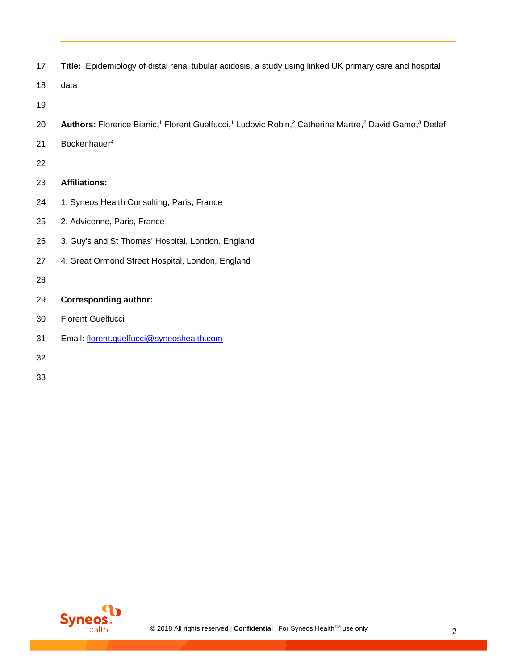|  | Title: Epidemiology of distal renal tubular acidosis, a study using linked UK primary care and hospital |  |  |  |  |
|--|---------------------------------------------------------------------------------------------------------|--|--|--|--|
|--|---------------------------------------------------------------------------------------------------------|--|--|--|--|

- data
- 
- 20 **Authors:** Florence Bianic,<sup>1</sup> Florent Guelfucci,<sup>1</sup> Ludovic Robin,<sup>2</sup> Catherine Martre,<sup>2</sup> David Game,<sup>3</sup> Detlef
- 21 Bockenhauer<sup>4</sup>
- 
- **Affiliations:**
- 24 1. Syneos Health Consulting, Paris, France
- 2. Advicenne, Paris, France
- 3. Guy's and St Thomas' Hospital, London, England
- 4. Great Ormond Street Hospital, London, England
- 
- **Corresponding author:**
- Florent Guelfucci
- Email: [florent.guelfucci@syneoshealth.com](mailto:florent.guelfucci@syneoshealth.com)
- 
- 

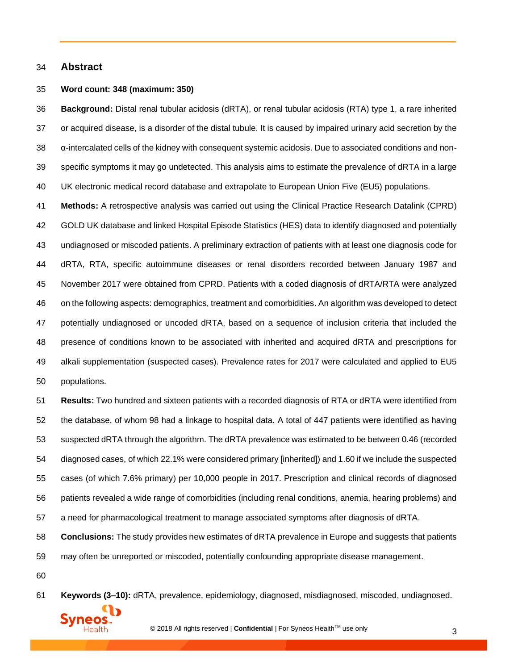#### **Abstract**

#### **Word count: 348 (maximum: 350)**

 **Background:** Distal renal tubular acidosis (dRTA), or renal tubular acidosis (RTA) type 1, a rare inherited or acquired disease, is a disorder of the distal tubule. It is caused by impaired urinary acid secretion by the α-intercalated cells of the kidney with consequent systemic acidosis. Due to associated conditions and non- specific symptoms it may go undetected. This analysis aims to estimate the prevalence of dRTA in a large UK electronic medical record database and extrapolate to European Union Five (EU5) populations.

 **Methods:** A retrospective analysis was carried out using the Clinical Practice Research Datalink (CPRD) GOLD UK database and linked Hospital Episode Statistics (HES) data to identify diagnosed and potentially undiagnosed or miscoded patients. A preliminary extraction of patients with at least one diagnosis code for dRTA, RTA, specific autoimmune diseases or renal disorders recorded between January 1987 and November 2017 were obtained from CPRD. Patients with a coded diagnosis of dRTA/RTA were analyzed on the following aspects: demographics, treatmentand comorbidities. An algorithm was developed to detect potentially undiagnosed or uncoded dRTA, based on a sequence of inclusion criteria that included the presence of conditions known to be associated with inherited and acquired dRTA and prescriptions for alkali supplementation (suspected cases). Prevalence rates for 2017 were calculated and applied to EU5 populations.

 **Results:** Two hundred and sixteen patients with a recorded diagnosis of RTA or dRTA were identified from the database, of whom 98 had a linkage to hospital data. A total of 447 patients were identified as having suspected dRTA through the algorithm. The dRTA prevalence was estimated to be between 0.46 (recorded diagnosed cases, of which 22.1% were considered primary [inherited]) and 1.60 if we include the suspected cases (of which 7.6% primary) per 10,000 people in 2017. Prescription and clinical records of diagnosed patients revealed a wide range of comorbidities (including renal conditions, anemia, hearing problems) and a need for pharmacological treatment to manage associated symptoms after diagnosis of dRTA.

**Conclusions:** The study provides new estimates of dRTA prevalence in Europe and suggests that patients

may often be unreported or miscoded, potentially confounding appropriate disease management.

**Keywords (3–10):** dRTA, prevalence, epidemiology, diagnosed, misdiagnosed, miscoded, undiagnosed.

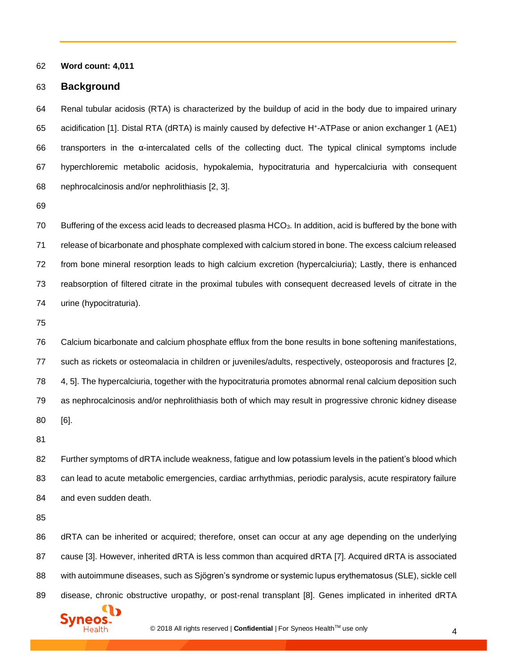**Word count: 4,011**

#### **Background**

 Renal tubular acidosis (RTA) is characterized by the buildup of acid in the body due to impaired urinary 65 acidification [\[1\]](#page-19-0). Distal RTA (dRTA) is mainly caused by defective H<sup>+</sup>-ATPase or anion exchanger 1 (AE1) transporters in the α-intercalated cells of the collecting duct. The typical clinical symptoms include hyperchloremic metabolic acidosis, hypokalemia, hypocitraturia and hypercalciuria with consequent nephrocalcinosis and/or nephrolithiasis [\[2,](#page-19-1) [3\]](#page-19-2).

 Buffering of the excess acid leads to decreased plasma HCO3. In addition, acid is buffered by the bone with release of bicarbonate and phosphate complexed with calcium stored in bone. The excess calcium released from bone mineral resorption leads to high calcium excretion (hypercalciuria); Lastly, there is enhanced reabsorption of filtered citrate in the proximal tubules with consequent decreased levels of citrate in the urine (hypocitraturia).

 Calcium bicarbonate and calcium phosphate efflux from the bone results in bone softening manifestations, such as rickets or osteomalacia in children or juveniles/adults, respectively, osteoporosis and fractures [\[2,](#page-19-1) [4,](#page-19-3) [5\]](#page-19-4). The hypercalciuria, together with the hypocitraturia promotes abnormal renal calcium deposition such as nephrocalcinosis and/or nephrolithiasis both of which may result in progressive chronic kidney disease [\[6\]](#page-19-5).

 Further symptoms of dRTA include weakness, fatigue and low potassium levels in the patient's blood which can lead to acute metabolic emergencies, cardiac arrhythmias, periodic paralysis, acute respiratory failure and even sudden death.

 dRTA can be inherited or acquired; therefore, onset can occur at any age depending on the underlying cause [\[3\]](#page-19-2). However, inherited dRTA is less common than acquired dRTA [\[7\]](#page-19-6). Acquired dRTA is associated with autoimmune diseases, such as Sjögren's syndrome or systemic lupus erythematosus (SLE), sickle cell disease, chronic obstructive uropathy, or post-renal transplant [\[8\]](#page-19-7). Genes implicated in inherited dRTA

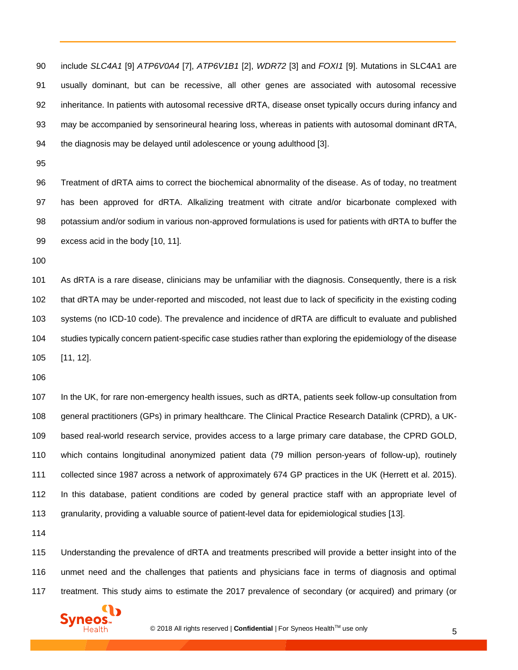include *SLC4A1* [\[9\]](#page-19-8) *ATP6V0A4* [\[7\]](#page-19-6), *ATP6V1B1* [\[2\]](#page-19-1), *WDR72* [\[3\]](#page-19-2) and *FOXI1* [\[9\]](#page-19-8). Mutations in SLC4A1 are usually dominant, but can be recessive, all other genes are associated with autosomal recessive inheritance. In patients with autosomal recessive dRTA, disease onset typically occurs during infancy and may be accompanied by sensorineural hearing loss, whereas in patients with autosomal dominant dRTA, the diagnosis may be delayed until adolescence or young adulthood [\[3\]](#page-19-2).

 Treatment of dRTA aims to correct the biochemical abnormality of the disease. As of today, no treatment has been approved for dRTA. Alkalizing treatment with citrate and/or bicarbonate complexed with potassium and/or sodium in various non-approved formulations is used for patients with dRTA to buffer the excess acid in the body [\[10,](#page-19-9) [11\].](#page-19-10)

 As dRTA is a rare disease, clinicians may be unfamiliar with the diagnosis. Consequently, there is a risk that dRTA may be under-reported and miscoded, not least due to lack of specificity in the existing coding systems (no ICD-10 code). The prevalence and incidence of dRTA are difficult to evaluate and published studies typically concern patient-specific case studies rather than exploring the epidemiology of the disease [\[11,](#page-19-10) [12\]](#page-19-11).

 In the UK, for rare non-emergency health issues, such as dRTA, patients seek follow-up consultation from general practitioners (GPs) in primary healthcare. The Clinical Practice Research Datalink (CPRD), a UK- based real-world research service, provides access to a large primary care database, the CPRD GOLD, which contains longitudinal anonymized patient data (79 million person-years of follow-up), routinely collected since 1987 across a network of approximately 674 GP practices in the UK (Herrett et al. 2015). In this database, patient conditions are coded by general practice staff with an appropriate level of granularity, providing a valuable source of patient-level data for epidemiological studies [\[13\]](#page-19-12).

 Understanding the prevalence of dRTA and treatments prescribed will provide a better insight into of the unmet need and the challenges that patients and physicians face in terms of diagnosis and optimal treatment. This study aims to estimate the 2017 prevalence of secondary (or acquired) and primary (or

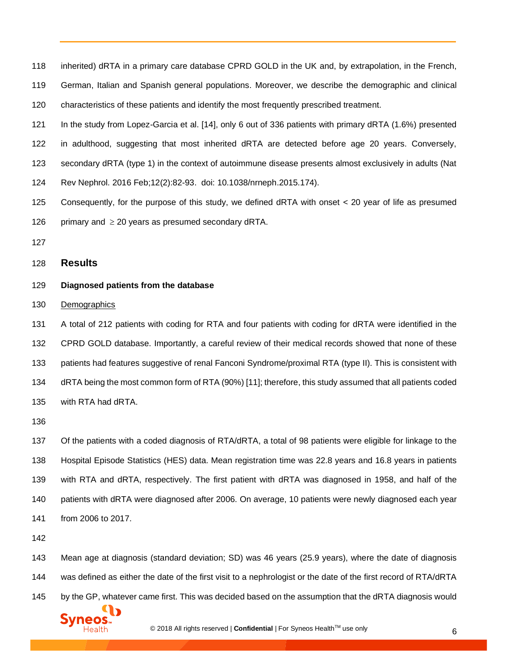inherited) dRTA in a primary care database CPRD GOLD in the UK and, by extrapolation, in the French, German, Italian and Spanish general populations. Moreover, we describe the demographic and clinical characteristics of these patients and identify the most frequently prescribed treatment.

 In the study from Lopez-Garcia et al. [\[14\]](#page-19-13), only 6 out of 336 patients with primary dRTA (1.6%) presented in adulthood, suggesting that most inherited dRTA are detected before age 20 years. Conversely, secondary dRTA (type 1) in the context of autoimmune disease presents almost exclusively in adults (Nat

- Rev Nephrol. 2016 Feb;12(2):82-93. doi: 10.1038/nrneph.2015.174).
- Consequently, for the purpose of this study, we defined dRTA with onset < 20 year of life as presumed 126 primary and  $\geq$  20 years as presumed secondary dRTA.
- 

#### **Results**

#### **Diagnosed patients from the database**

Demographics

 A total of 212 patients with coding for RTA and four patients with coding for dRTA were identified in the CPRD GOLD database. Importantly, a careful review of their medical records showed that none of these patients had features suggestive of renal Fanconi Syndrome/proximal RTA (type II). This is consistent with dRTA being the most common form of RTA (90%) [\[11\]](#page-19-10); therefore, this study assumed that all patients coded with RTA had dRTA.

 Of the patients with a coded diagnosis of RTA/dRTA, a total of 98 patients were eligible for linkage to the Hospital Episode Statistics (HES) data. Mean registration time was 22.8 years and 16.8 years in patients with RTA and dRTA, respectively. The first patient with dRTA was diagnosed in 1958, and half of the patients with dRTA were diagnosed after 2006. On average, 10 patients were newly diagnosed each year from 2006 to 2017.

 Mean age at diagnosis (standard deviation; SD) was 46 years (25.9 years), where the date of diagnosis 144 was defined as either the date of the first visit to a nephrologist or the date of the first record of RTA/dRTA 145 by the GP, whatever came first. This was decided based on the assumption that the dRTA diagnosis would

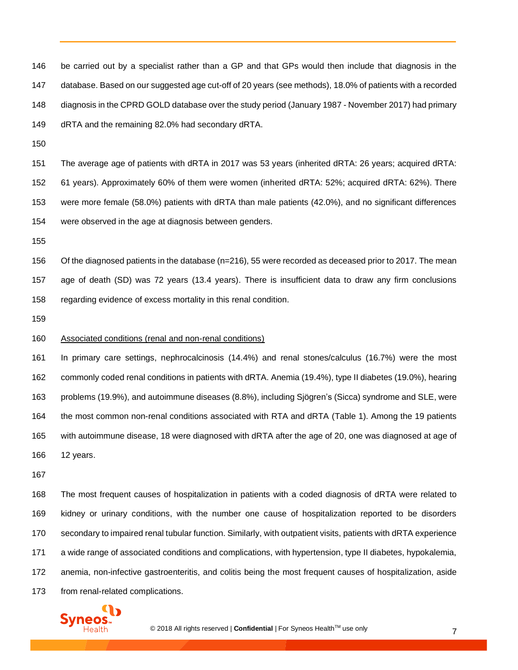be carried out by a specialist rather than a GP and that GPs would then include that diagnosis in the database. Based on our suggested age cut-off of 20 years (see methods), 18.0% of patients with a recorded diagnosis in the CPRD GOLD database over the study period (January 1987 - November 2017) had primary dRTA and the remaining 82.0% had secondary dRTA.

 The average age of patients with dRTA in 2017 was 53 years (inherited dRTA: 26 years; acquired dRTA: 61 years). Approximately 60% of them were women (inherited dRTA: 52%; acquired dRTA: 62%). There were more female (58.0%) patients with dRTA than male patients (42.0%), and no significant differences were observed in the age at diagnosis between genders.

 Of the diagnosed patients in the database (n=216), 55 were recorded as deceased prior to 2017. The mean age of death (SD) was 72 years (13.4 years). There is insufficient data to draw any firm conclusions regarding evidence of excess mortality in this renal condition.

#### Associated conditions (renal and non-renal conditions)

 In primary care settings, nephrocalcinosis (14.4%) and renal stones/calculus (16.7%) were the most commonly coded renal conditions in patients with dRTA. Anemia (19.4%), type II diabetes (19.0%), hearing problems (19.9%), and autoimmune diseases (8.8%), including Sjögren's (Sicca) syndrome and SLE, were the most common non-renal conditions associated with RTA and dRTA (Table 1). Among the 19 patients with autoimmune disease, 18 were diagnosed with dRTA after the age of 20, one was diagnosed at age of 12 years.

 The most frequent causes of hospitalization in patients with a coded diagnosis of dRTA were related to kidney or urinary conditions, with the number one cause of hospitalization reported to be disorders secondary to impaired renal tubular function. Similarly, with outpatient visits, patients with dRTA experience a wide range of associated conditions and complications, with hypertension, type II diabetes, hypokalemia, anemia, non-infective gastroenteritis, and colitis being the most frequent causes of hospitalization, aside from renal-related complications.

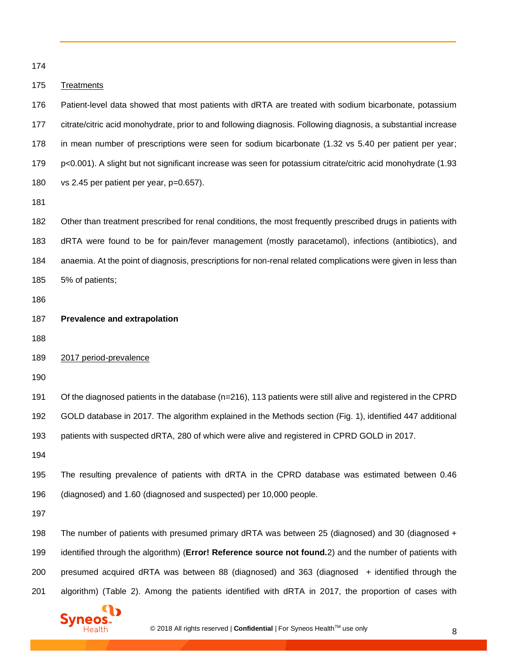#### Treatments

 Patient-level data showed that most patients with dRTA are treated with sodium bicarbonate, potassium citrate/citric acid monohydrate, prior to and following diagnosis. Following diagnosis, a substantial increase in mean number of prescriptions were seen for sodium bicarbonate (1.32 vs 5.40 per patient per year; p<0.001). A slight but not significant increase was seen for potassium citrate/citric acid monohydrate (1.93 vs 2.45 per patient per year, p=0.657).

 Other than treatment prescribed for renal conditions, the most frequently prescribed drugs in patients with dRTA were found to be for pain/fever management (mostly paracetamol), infections (antibiotics), and anaemia. At the point of diagnosis, prescriptions for non-renal related complications were given in less than 5% of patients;

- **Prevalence and extrapolation**
- 
- 2017 period-prevalence

 Of the diagnosed patients in the database (n=216), 113 patients were still alive and registered in the CPRD GOLD database in 2017. The algorithm explained in the Methods section (Fig. 1), identified 447 additional patients with suspected dRTA, 280 of which were alive and registered in CPRD GOLD in 2017.

 The resulting prevalence of patients with dRTA in the CPRD database was estimated between 0.46 (diagnosed) and 1.60 (diagnosed and suspected) per 10,000 people.

 The number of patients with presumed primary dRTA was between 25 (diagnosed) and 30 (diagnosed + identified through the algorithm) (**Error! Reference source not found.**2) and the number of patients with presumed acquired dRTA was between 88 (diagnosed) and 363 (diagnosed + identified through the algorithm) (Table 2). Among the patients identified with dRTA in 2017, the proportion of cases with

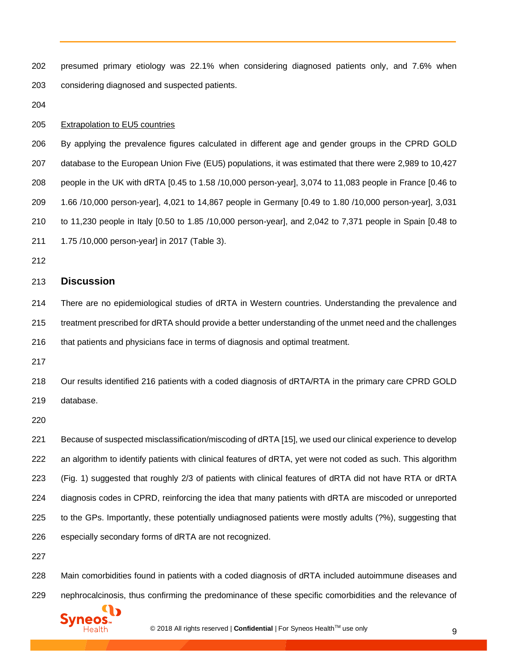presumed primary etiology was 22.1% when considering diagnosed patients only, and 7.6% when considering diagnosed and suspected patients. Extrapolation to EU5 countries By applying the prevalence figures calculated in different age and gender groups in the CPRD GOLD database to the European Union Five (EU5) populations, it was estimated that there were 2,989 to 10,427 people in the UK with dRTA [0.45 to 1.58 /10,000 person-year], 3,074 to 11,083 people in France [0.46 to 1.66 /10,000 person-year], 4,021 to 14,867 people in Germany [0.49 to 1.80 /10,000 person-year], 3,031 to 11,230 people in Italy [0.50 to 1.85 /10,000 person-year], and 2,042 to 7,371 people in Spain [0.48 to 1.75 /10,000 person-year] in 2017 (Table 3). **Discussion** There are no epidemiological studies of dRTA in Western countries. Understanding the prevalence and treatment prescribed for dRTA should provide a better understanding of the unmet need and the challenges that patients and physicians face in terms of diagnosis and optimal treatment. Our results identified 216 patients with a coded diagnosis of dRTA/RTA in the primary care CPRD GOLD database. Because of suspected misclassification/miscoding of dRTA [\[15\]](#page-19-14), we used our clinical experience to develop an algorithm to identify patients with clinical features of dRTA, yet were not coded as such. This algorithm (Fig. 1) suggested that roughly 2/3 of patients with clinical features of dRTA did not have RTA or dRTA diagnosis codes in CPRD, reinforcing the idea that many patients with dRTA are miscoded or unreported to the GPs. Importantly, these potentially undiagnosed patients were mostly adults (?%), suggesting that especially secondary forms of dRTA are not recognized. 

 Main comorbidities found in patients with a coded diagnosis of dRTA included autoimmune diseases and nephrocalcinosis, thus confirming the predominance of these specific comorbidities and the relevance of

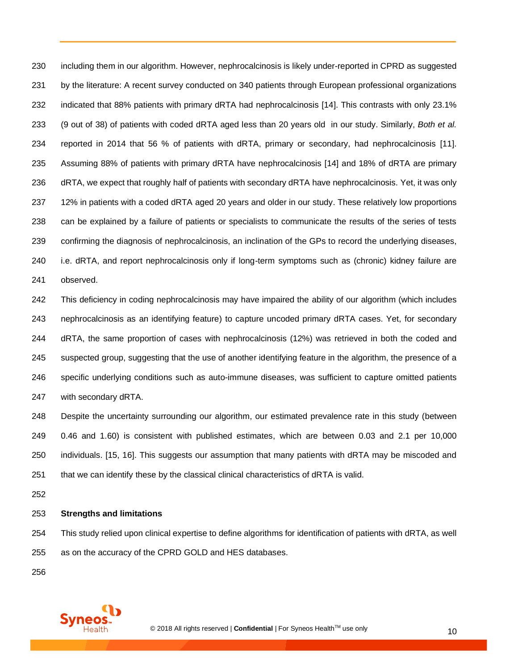including them in our algorithm. However, nephrocalcinosis is likely under-reported in CPRD as suggested by the literature: A recent survey conducted on 340 patients through European professional organizations indicated that 88% patients with primary dRTA had nephrocalcinosis [\[14\]](#page-19-13). This contrasts with only 23.1% (9 out of 38) of patients with coded dRTA aged less than 20 years old in our study. Similarly, *Both et al.* reported in 2014 that 56 % of patients with dRTA, primary or secondary, had nephrocalcinosis [\[11\]](#page-19-10). Assuming 88% of patients with primary dRTA have nephrocalcinosis [\[14\]](#page-19-13) and 18% of dRTA are primary dRTA, we expect that roughly half of patients with secondary dRTA have nephrocalcinosis. Yet, it was only 12% in patients with a coded dRTA aged 20 years and older in our study. These relatively low proportions can be explained by a failure of patients or specialists to communicate the results of the series of tests confirming the diagnosis of nephrocalcinosis, an inclination of the GPs to record the underlying diseases, i.e. dRTA, and report nephrocalcinosis only if long-term symptoms such as (chronic) kidney failure are

observed.

 This deficiency in coding nephrocalcinosis may have impaired the ability of our algorithm (which includes nephrocalcinosis as an identifying feature) to capture uncoded primary dRTA cases. Yet, for secondary dRTA, the same proportion of cases with nephrocalcinosis (12%) was retrieved in both the coded and suspected group, suggesting that the use of another identifying feature in the algorithm, the presence of a specific underlying conditions such as auto-immune diseases, was sufficient to capture omitted patients with secondary dRTA.

 Despite the uncertainty surrounding our algorithm, our estimated prevalence rate in this study (between 0.46 and 1.60) is consistent with published estimates, which are between 0.03 and 2.1 per 10,000 individuals. [\[15,](#page-19-14) [16\]](#page-19-15). This suggests our assumption that many patients with dRTA may be miscoded and that we can identify these by the classical clinical characteristics of dRTA is valid.

#### **Strengths and limitations**

 This study relied upon clinical expertise to define algorithms for identification of patients with dRTA, as well as on the accuracy of the CPRD GOLD and HES databases.

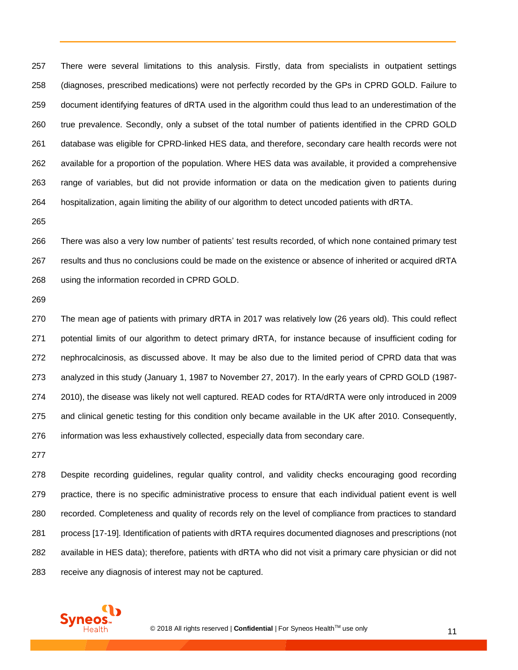There were several limitations to this analysis. Firstly, data from specialists in outpatient settings (diagnoses, prescribed medications) were not perfectly recorded by the GPs in CPRD GOLD. Failure to document identifying features of dRTA used in the algorithm could thus lead to an underestimation of the true prevalence. Secondly, only a subset of the total number of patients identified in the CPRD GOLD database was eligible for CPRD-linked HES data, and therefore, secondary care health records were not available for a proportion of the population. Where HES data was available, it provided a comprehensive range of variables, but did not provide information or data on the medication given to patients during hospitalization, again limiting the ability of our algorithm to detect uncoded patients with dRTA.

 There was also a very low number of patients' test results recorded, of which none contained primary test results and thus no conclusions could be made on the existence or absence of inherited or acquired dRTA using the information recorded in CPRD GOLD.

 The mean age of patients with primary dRTA in 2017 was relatively low (26 years old). This could reflect potential limits of our algorithm to detect primary dRTA, for instance because of insufficient coding for nephrocalcinosis, as discussed above. It may be also due to the limited period of CPRD data that was analyzed in this study (January 1, 1987 to November 27, 2017). In the early years of CPRD GOLD (1987- 2010), the disease was likely not well captured. READ codes for RTA/dRTA were only introduced in 2009 and clinical genetic testing for this condition only became available in the UK after 2010. Consequently, information was less exhaustively collected, especially data from secondary care.

 Despite recording guidelines, regular quality control, and validity checks encouraging good recording practice, there is no specific administrative process to ensure that each individual patient event is well recorded. Completeness and quality of records rely on the level of compliance from practices to standard process [\[17-19\]](#page-19-16). Identification of patients with dRTA requires documented diagnoses and prescriptions (not available in HES data); therefore, patients with dRTA who did not visit a primary care physician or did not receive any diagnosis of interest may not be captured.

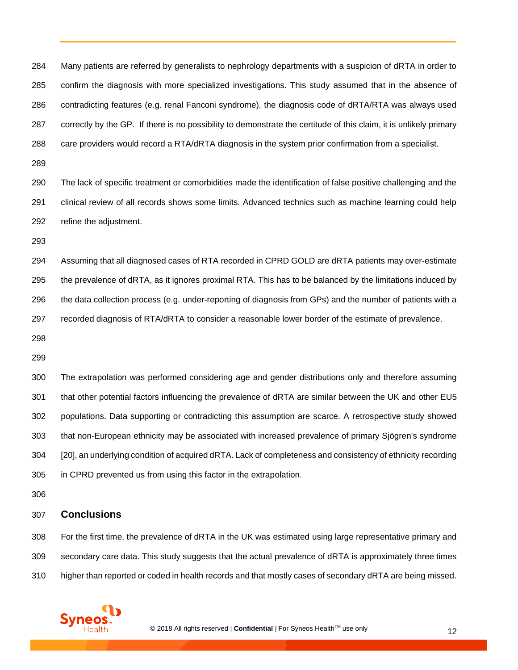Many patients are referred by generalists to nephrology departments with a suspicion of dRTA in order to confirm the diagnosis with more specialized investigations. This study assumed that in the absence of contradicting features (e.g. renal Fanconi syndrome), the diagnosis code of dRTA/RTA was always used correctly by the GP. If there is no possibility to demonstrate the certitude of this claim, it is unlikely primary care providers would record a RTA/dRTA diagnosis in the system prior confirmation from a specialist.

 The lack of specific treatment or comorbidities made the identification of false positive challenging and the clinical review of all records shows some limits. Advanced technics such as machine learning could help refine the adjustment.

 Assuming that all diagnosed cases of RTA recorded in CPRD GOLD are dRTA patients may over-estimate the prevalence of dRTA, as it ignores proximal RTA. This has to be balanced by the limitations induced by the data collection process (e.g. under-reporting of diagnosis from GPs) and the number of patients with a recorded diagnosis of RTA/dRTA to consider a reasonable lower border of the estimate of prevalence.

 The extrapolation was performed considering age and gender distributions only and therefore assuming that other potential factors influencing the prevalence of dRTA are similar between the UK and other EU5 populations. Data supporting or contradicting this assumption are scarce. A retrospective study showed that non-European ethnicity may be associated with increased prevalence of primary Sjögren's syndrome [\[20\]](#page-19-17), an underlying condition of acquired dRTA. Lack of completeness and consistency of ethnicity recording in CPRD prevented us from using this factor in the extrapolation.

#### **Conclusions**

 For the first time, the prevalence of dRTA in the UK was estimated using large representative primary and secondary care data. This study suggests that the actual prevalence of dRTA is approximately three times higher than reported or coded in health records and that mostly cases of secondary dRTA are being missed.

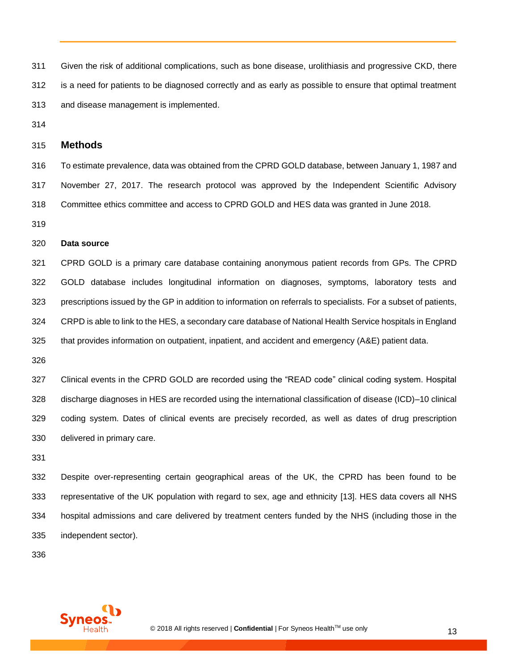Given the risk of additional complications, such as bone disease, urolithiasis and progressive CKD, there is a need for patients to be diagnosed correctly and as early as possible to ensure that optimal treatment and disease management is implemented.

#### **Methods**

 To estimate prevalence, data was obtained from the CPRD GOLD database, between January 1, 1987 and November 27, 2017. The research protocol was approved by the Independent Scientific Advisory Committee ethics committee and access to CPRD GOLD and HES data was granted in June 2018.

#### **Data source**

 CPRD GOLD is a primary care database containing anonymous patient records from GPs. The CPRD GOLD database includes longitudinal information on diagnoses, symptoms, laboratory tests and prescriptions issued by the GP in addition to information on referrals to specialists. For a subset of patients, CRPD is able to link to the HES, a secondary care database of National Health Service hospitals in England that provides information on outpatient, inpatient, and accident and emergency (A&E) patient data.

 Clinical events in the CPRD GOLD are recorded using the "READ code" clinical coding system. Hospital discharge diagnoses in HES are recorded using the international classification of disease (ICD)–10 clinical coding system. Dates of clinical events are precisely recorded, as well as dates of drug prescription delivered in primary care.

 Despite over-representing certain geographical areas of the UK, the CPRD has been found to be representative of the UK population with regard to sex, age and ethnicity [\[13\]](#page-19-12). HES data covers all NHS hospital admissions and care delivered by treatment centers funded by the NHS (including those in the independent sector).

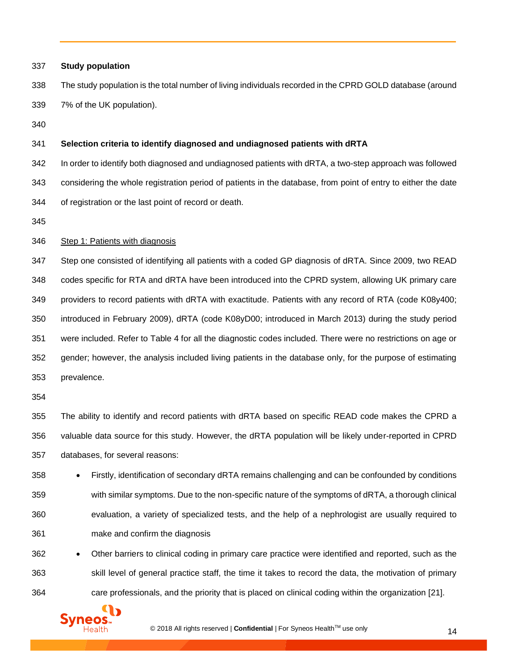| 337 | <b>Study population</b>                                                                                       |
|-----|---------------------------------------------------------------------------------------------------------------|
| 338 | The study population is the total number of living individuals recorded in the CPRD GOLD database (around     |
| 339 | 7% of the UK population).                                                                                     |
| 340 |                                                                                                               |
| 341 | Selection criteria to identify diagnosed and undiagnosed patients with dRTA                                   |
| 342 | In order to identify both diagnosed and undiagnosed patients with dRTA, a two-step approach was followed      |
| 343 | considering the whole registration period of patients in the database, from point of entry to either the date |
| 344 | of registration or the last point of record or death.                                                         |
| 345 |                                                                                                               |
| 346 | Step 1: Patients with diagnosis                                                                               |
| 347 | Step one consisted of identifying all patients with a coded GP diagnosis of dRTA. Since 2009, two READ        |
| 348 | codes specific for RTA and dRTA have been introduced into the CPRD system, allowing UK primary care           |
| 349 | providers to record patients with dRTA with exactitude. Patients with any record of RTA (code K08y400;        |
| 350 | introduced in February 2009), dRTA (code K08yD00; introduced in March 2013) during the study period           |
| 351 | were included. Refer to Table 4 for all the diagnostic codes included. There were no restrictions on age or   |
| 352 | gender; however, the analysis included living patients in the database only, for the purpose of estimating    |
| 353 | prevalence.                                                                                                   |
| 354 |                                                                                                               |
| 355 | The ability to identify and record patients with dRTA based on specific READ code makes the CPRD a            |
| 356 | valuable data source for this study. However, the dRTA population will be likely under-reported in CPRD       |
| 357 | databases, for several reasons:                                                                               |
| 358 | Firstly, identification of secondary dRTA remains challenging and can be confounded by conditions             |
| 359 | with similar symptoms. Due to the non-specific nature of the symptoms of dRTA, a thorough clinical            |
| 360 | evaluation, a variety of specialized tests, and the help of a nephrologist are usually required to            |
| 361 | make and confirm the diagnosis                                                                                |
| 362 | Other barriers to clinical coding in primary care practice were identified and reported, such as the          |
| 363 | skill level of general practice staff, the time it takes to record the data, the motivation of primary        |
| 364 | care professionals, and the priority that is placed on clinical coding within the organization [21].          |
|     |                                                                                                               |
|     | © 2018 All rights reserved   Confidential   For Syneos Health™ use only<br>14                                 |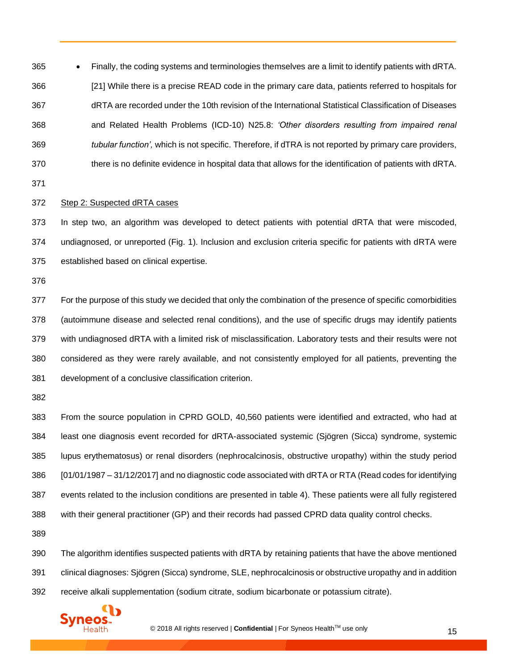• Finally, the coding systems and terminologies themselves are a limit to identify patients with dRTA. [\[21\]](#page-19-18) While there is a precise READ code in the primary care data, patients referred to hospitals for dRTA are recorded under the 10th revision of the International Statistical Classification of Diseases and Related Health Problems (ICD-10) N25.8: *'Other disorders resulting from impaired renal tubular function',* which is not specific. Therefore, if dTRA is not reported by primary care providers, there is no definite evidence in hospital data that allows for the identification of patients with dRTA.

#### Step 2: Suspected dRTA cases

 In step two, an algorithm was developed to detect patients with potential dRTA that were miscoded, undiagnosed, or unreported (Fig. 1). Inclusion and exclusion criteria specific for patients with dRTA were established based on clinical expertise.

 For the purpose of this study we decided that only the combination of the presence of specific comorbidities (autoimmune disease and selected renal conditions), and the use of specific drugs may identify patients with undiagnosed dRTA with a limited risk of misclassification. Laboratory tests and their results were not considered as they were rarely available, and not consistently employed for all patients, preventing the development of a conclusive classification criterion.

 From the source population in CPRD GOLD, 40,560 patients were identified and extracted, who had at least one diagnosis event recorded for dRTA-associated systemic (Sjögren (Sicca) syndrome, systemic lupus erythematosus) or renal disorders (nephrocalcinosis, obstructive uropathy) within the study period [01/01/1987 – 31/12/2017] and no diagnostic code associated with dRTA or RTA (Read codes for identifying events related to the inclusion conditions are presented in table 4). These patients were all fully registered with their general practitioner (GP) and their records had passed CPRD data quality control checks.

 The algorithm identifies suspected patients with dRTA by retaining patients that have the above mentioned clinical diagnoses: Sjögren (Sicca) syndrome, SLE, nephrocalcinosis or obstructive uropathy and in addition receive alkali supplementation (sodium citrate, sodium bicarbonate or potassium citrate).

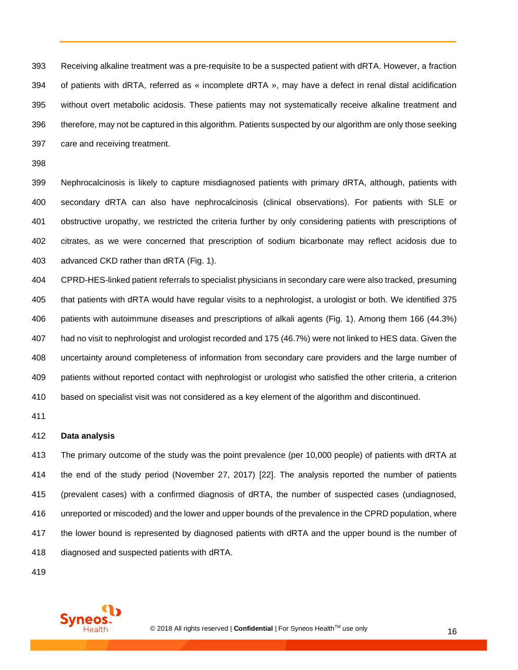Receiving alkaline treatment was a pre-requisite to be a suspected patient with dRTA. However, a fraction of patients with dRTA, referred as « incomplete dRTA », may have a defect in renal distal acidification without overt metabolic acidosis. These patients may not systematically receive alkaline treatment and therefore, may not be captured in this algorithm. Patients suspected by our algorithm are only those seeking care and receiving treatment.

 Nephrocalcinosis is likely to capture misdiagnosed patients with primary dRTA, although, patients with secondary dRTA can also have nephrocalcinosis (clinical observations). For patients with SLE or obstructive uropathy, we restricted the criteria further by only considering patients with prescriptions of citrates, as we were concerned that prescription of sodium bicarbonate may reflect acidosis due to advanced CKD rather than dRTA (Fig. 1).

 CPRD-HES-linked patient referrals to specialist physicians in secondary care were also tracked, presuming that patients with dRTA would have regular visits to a nephrologist, a urologist or both. We identified 375 patients with autoimmune diseases and prescriptions of alkali agents (Fig. 1). Among them 166 (44.3%) had no visit to nephrologist and urologist recorded and 175 (46.7%) were not linked to HES data. Given the uncertainty around completeness of information from secondary care providers and the large number of patients without reported contact with nephrologist or urologist who satisfied the other criteria, a criterion based on specialist visit was not considered as a key element of the algorithm and discontinued.

#### **Data analysis**

 The primary outcome of the study was the point prevalence (per 10,000 people) of patients with dRTA at the end of the study period (November 27, 2017) [\[22\]](#page-19-19). The analysis reported the number of patients (prevalent cases) with a confirmed diagnosis of dRTA, the number of suspected cases (undiagnosed, unreported or miscoded) and the lower and upper bounds of the prevalence in the CPRD population, where the lower bound is represented by diagnosed patients with dRTA and the upper bound is the number of diagnosed and suspected patients with dRTA.

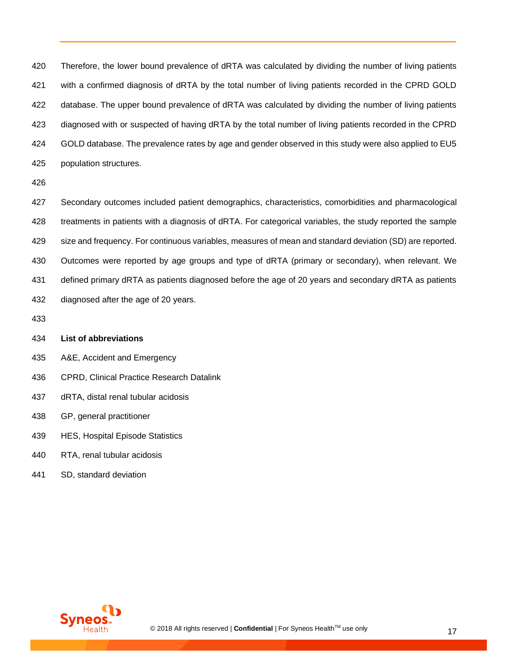Therefore, the lower bound prevalence of dRTA was calculated by dividing the number of living patients with a confirmed diagnosis of dRTA by the total number of living patients recorded in the CPRD GOLD database. The upper bound prevalence of dRTA was calculated by dividing the number of living patients diagnosed with or suspected of having dRTA by the total number of living patients recorded in the CPRD GOLD database. The prevalence rates by age and gender observed in this study were also applied to EU5 population structures.

 Secondary outcomes included patient demographics, characteristics, comorbidities and pharmacological treatments in patients with a diagnosis of dRTA. For categorical variables, the study reported the sample size and frequency. For continuous variables, measures of mean and standard deviation (SD) are reported. Outcomes were reported by age groups and type of dRTA (primary or secondary), when relevant. We defined primary dRTA as patients diagnosed before the age of 20 years and secondary dRTA as patients diagnosed after the age of 20 years.

#### **List of abbreviations**

- A&E, Accident and Emergency
- CPRD, Clinical Practice Research Datalink
- dRTA, distal renal tubular acidosis
- GP, general practitioner
- HES, Hospital Episode Statistics
- RTA, renal tubular acidosis
- SD, standard deviation

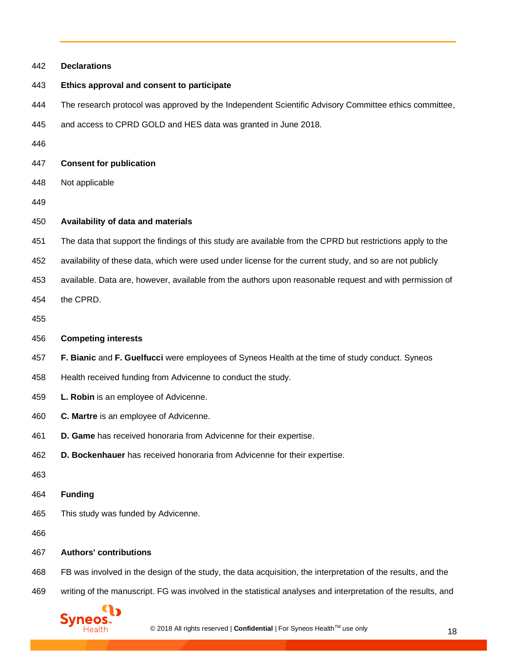| 442 | <b>Declarations</b>                                                                                           |  |  |
|-----|---------------------------------------------------------------------------------------------------------------|--|--|
| 443 | Ethics approval and consent to participate                                                                    |  |  |
| 444 | The research protocol was approved by the Independent Scientific Advisory Committee ethics committee,         |  |  |
| 445 | and access to CPRD GOLD and HES data was granted in June 2018.                                                |  |  |
| 446 |                                                                                                               |  |  |
| 447 | <b>Consent for publication</b>                                                                                |  |  |
| 448 | Not applicable                                                                                                |  |  |
| 449 |                                                                                                               |  |  |
| 450 | Availability of data and materials                                                                            |  |  |
| 451 | The data that support the findings of this study are available from the CPRD but restrictions apply to the    |  |  |
| 452 | availability of these data, which were used under license for the current study, and so are not publicly      |  |  |
| 453 | available. Data are, however, available from the authors upon reasonable request and with permission of       |  |  |
| 454 | the CPRD.                                                                                                     |  |  |
| 455 |                                                                                                               |  |  |
| 456 | <b>Competing interests</b>                                                                                    |  |  |
| 457 | F. Bianic and F. Guelfucci were employees of Syneos Health at the time of study conduct. Syneos               |  |  |
| 458 | Health received funding from Advicenne to conduct the study.                                                  |  |  |
| 459 | L. Robin is an employee of Advicenne.                                                                         |  |  |
| 460 | C. Martre is an employee of Advicenne.                                                                        |  |  |
| 461 | D. Game has received honoraria from Advicenne for their expertise.                                            |  |  |
| 462 | D. Bockenhauer has received honoraria from Advicenne for their expertise.                                     |  |  |
| 463 |                                                                                                               |  |  |
| 464 | <b>Funding</b>                                                                                                |  |  |
| 465 | This study was funded by Advicenne.                                                                           |  |  |
| 466 |                                                                                                               |  |  |
| 467 | <b>Authors' contributions</b>                                                                                 |  |  |
| 468 | FB was involved in the design of the study, the data acquisition, the interpretation of the results, and the  |  |  |
| 469 | writing of the manuscript. FG was involved in the statistical analyses and interpretation of the results, and |  |  |
|     | <b>Syneos</b><br>© 2018 All rights reserved   Confidential   For Syneos Health™ use only<br>18                |  |  |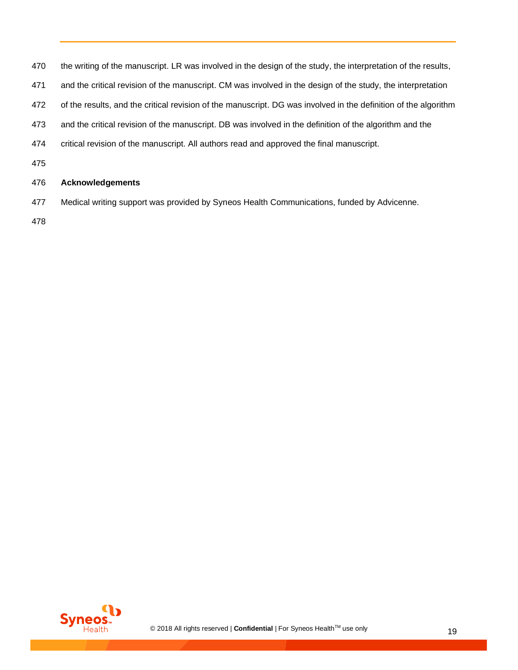| 470 | the writing of the manuscript. LR was involved in the design of the study, the interpretation of the results,   |
|-----|-----------------------------------------------------------------------------------------------------------------|
| 471 | and the critical revision of the manuscript. CM was involved in the design of the study, the interpretation     |
| 472 | of the results, and the critical revision of the manuscript. DG was involved in the definition of the algorithm |
| 473 | and the critical revision of the manuscript. DB was involved in the definition of the algorithm and the         |
| 474 | critical revision of the manuscript. All authors read and approved the final manuscript.                        |
| 475 |                                                                                                                 |
| 476 | <b>Acknowledgements</b>                                                                                         |
| 477 | Medical writing support was provided by Syneos Health Communications, funded by Advicenne.                      |
| 478 |                                                                                                                 |

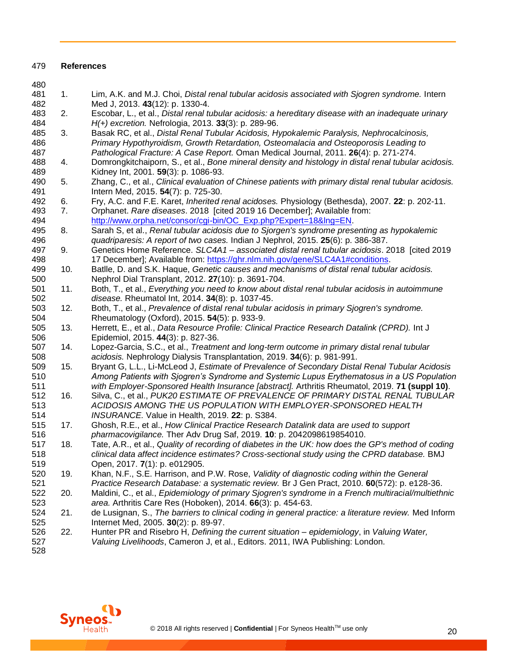#### **References**

<span id="page-19-12"></span><span id="page-19-11"></span><span id="page-19-10"></span><span id="page-19-9"></span><span id="page-19-8"></span><span id="page-19-7"></span><span id="page-19-6"></span><span id="page-19-5"></span><span id="page-19-4"></span><span id="page-19-3"></span><span id="page-19-2"></span><span id="page-19-1"></span><span id="page-19-0"></span>

| 480 |     |                                                                                                        |
|-----|-----|--------------------------------------------------------------------------------------------------------|
| 481 | 1.  | Lim, A.K. and M.J. Choi, Distal renal tubular acidosis associated with Sjogren syndrome. Intern        |
| 482 |     | Med J, 2013. 43(12): p. 1330-4.                                                                        |
| 483 | 2.  | Escobar, L., et al., Distal renal tubular acidosis: a hereditary disease with an inadequate urinary    |
| 484 |     | H(+) excretion. Nefrologia, 2013. 33(3): p. 289-96.                                                    |
| 485 | 3.  | Basak RC, et al., Distal Renal Tubular Acidosis, Hypokalemic Paralysis, Nephrocalcinosis,              |
| 486 |     | Primary Hypothyroidism, Growth Retardation, Osteomalacia and Osteoporosis Leading to                   |
| 487 |     | Pathological Fracture: A Case Report. Oman Medical Journal, 2011. 26(4): p. 271-274.                   |
| 488 | 4.  | Domrongkitchaiporn, S., et al., Bone mineral density and histology in distal renal tubular acidosis.   |
| 489 |     | Kidney Int, 2001. 59(3): p. 1086-93.                                                                   |
| 490 | 5.  | Zhang, C., et al., Clinical evaluation of Chinese patients with primary distal renal tubular acidosis. |
| 491 |     | Intern Med, 2015. 54(7): p. 725-30.                                                                    |
| 492 | 6.  | Fry, A.C. and F.E. Karet, Inherited renal acidoses. Physiology (Bethesda), 2007. 22: p. 202-11.        |
| 493 | 7.  | Orphanet. Rare diseases. 2018 [cited 2019 16 December]; Available from:                                |
| 494 |     | http://www.orpha.net/consor/cgi-bin/OC_Exp.php?Expert=18&lng=EN.                                       |
| 495 | 8.  | Sarah S, et al., Renal tubular acidosis due to Sjorgen's syndrome presenting as hypokalemic            |
| 496 |     | quadriparesis: A report of two cases. Indian J Nephrol, 2015. 25(6): p. 386-387.                       |
| 497 | 9.  | Genetics Home Reference. SLC4A1 - associated distal renal tubular acidosis. 2018 [cited 2019           |
| 498 |     | 17 December]; Available from: https://ghr.nlm.nih.gov/gene/SLC4A1#conditions.                          |
| 499 | 10. | Batlle, D. and S.K. Haque, Genetic causes and mechanisms of distal renal tubular acidosis.             |
| 500 |     | Nephrol Dial Transplant, 2012. 27(10): p. 3691-704.                                                    |
| 501 | 11. | Both, T., et al., Everything you need to know about distal renal tubular acidosis in autoimmune        |
| 502 |     | disease. Rheumatol Int, 2014. 34(8): p. 1037-45.                                                       |
| 503 | 12. | Both, T., et al., Prevalence of distal renal tubular acidosis in primary Sjogren's syndrome.           |
| 504 |     | Rheumatology (Oxford), 2015. 54(5): p. 933-9.                                                          |
| 505 | 13. | Herrett, E., et al., Data Resource Profile: Clinical Practice Research Datalink (CPRD). Int J          |
| 506 |     | Epidemiol, 2015. 44(3): p. 827-36.                                                                     |
| 507 | 14. | Lopez-Garcia, S.C., et al., Treatment and long-term outcome in primary distal renal tubular            |
| 508 |     | acidosis. Nephrology Dialysis Transplantation, 2019. 34(6): p. 981-991.                                |
| 509 | 15. | Bryant G, L.L., Li-McLeod J, Estimate of Prevalence of Secondary Distal Renal Tubular Acidosis         |
| 510 |     | Among Patients with Sjogren's Syndrome and Systemic Lupus Erythematosus in a US Population             |
| 511 |     | with Employer-Sponsored Health Insurance [abstract]. Arthritis Rheumatol, 2019. 71 (suppl 10).         |
| 512 | 16. | Silva, C., et al., PUK20 ESTIMATE OF PREVALENCE OF PRIMARY DISTAL RENAL TUBULAR                        |
| 513 |     | ACIDOSIS AMONG THE US POPULATION WITH EMPLOYER-SPONSORED HEALTH                                        |
| 514 |     | INSURANCE. Value in Health, 2019. 22: p. S384.                                                         |
| 515 | 17. | Ghosh, R.E., et al., How Clinical Practice Research Datalink data are used to support                  |
| 516 |     | pharmacovigilance. Ther Adv Drug Saf, 2019. 10: p. 2042098619854010.                                   |
| 517 | 18. | Tate, A.R., et al., Quality of recording of diabetes in the UK: how does the GP's method of coding     |
| 518 |     | clinical data affect incidence estimates? Cross-sectional study using the CPRD database. BMJ           |
| 519 |     | Open, 2017. 7(1): p. e012905.                                                                          |
| 520 | 19. | Khan, N.F., S.E. Harrison, and P.W. Rose, Validity of diagnostic coding within the General             |
| 521 |     | Practice Research Database: a systematic review. Br J Gen Pract, 2010. 60(572): p. e128-36.            |
| 522 | 20. | Maldini, C., et al., Epidemiology of primary Sjogren's syndrome in a French multiracial/multiethnic    |
| 523 |     | area. Arthritis Care Res (Hoboken), 2014. 66(3): p. 454-63.                                            |
| 524 | 21. | de Lusignan, S., The barriers to clinical coding in general practice: a literature review. Med Inform  |
| 525 |     | Internet Med, 2005. 30(2): p. 89-97.                                                                   |
| 526 | 22. | Hunter PR and Risebro H, Defining the current situation - epidemiology, in Valuing Water,              |
| 527 |     | Valuing Livelihoods, Cameron J, et al., Editors. 2011, IWA Publishing: London.                         |
| 528 |     |                                                                                                        |

<span id="page-19-19"></span><span id="page-19-18"></span><span id="page-19-17"></span><span id="page-19-16"></span><span id="page-19-15"></span><span id="page-19-14"></span><span id="page-19-13"></span>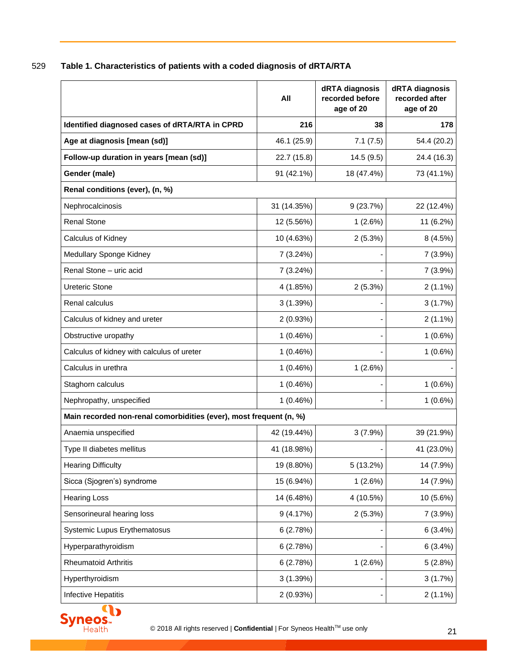529 **Table 1. Characteristics of patients with a coded diagnosis of dRTA/RTA**

|                                                                    | All         | dRTA diagnosis<br>recorded before<br>age of 20 | dRTA diagnosis<br>recorded after<br>age of 20 |
|--------------------------------------------------------------------|-------------|------------------------------------------------|-----------------------------------------------|
| Identified diagnosed cases of dRTA/RTA in CPRD                     | 216         | 38                                             | 178                                           |
| Age at diagnosis [mean (sd)]                                       | 46.1 (25.9) | 7.1(7.5)                                       | 54.4 (20.2)                                   |
| Follow-up duration in years [mean (sd)]                            | 22.7 (15.8) | 14.5(9.5)                                      | 24.4 (16.3)                                   |
| Gender (male)                                                      | 91 (42.1%)  | 18 (47.4%)                                     | 73 (41.1%)                                    |
| Renal conditions (ever), (n, %)                                    |             |                                                |                                               |
| Nephrocalcinosis                                                   | 31 (14.35%) | 9(23.7%)                                       | 22 (12.4%)                                    |
| <b>Renal Stone</b>                                                 | 12 (5.56%)  | 1(2.6%)                                        | 11 (6.2%)                                     |
| Calculus of Kidney                                                 | 10 (4.63%)  | 2(5.3%)                                        | 8 (4.5%)                                      |
| Medullary Sponge Kidney                                            | 7 (3.24%)   |                                                | $7(3.9\%)$                                    |
| Renal Stone - uric acid                                            | 7 (3.24%)   |                                                | 7(3.9%)                                       |
| <b>Ureteric Stone</b>                                              | 4 (1.85%)   | 2(5.3%)                                        | $2(1.1\%)$                                    |
| Renal calculus                                                     | 3(1.39%)    |                                                | 3(1.7%)                                       |
| Calculus of kidney and ureter                                      | 2(0.93%)    |                                                | $2(1.1\%)$                                    |
| Obstructive uropathy                                               | 1(0.46%)    |                                                | $1(0.6\%)$                                    |
| Calculus of kidney with calculus of ureter                         | 1(0.46%)    |                                                | $1(0.6\%)$                                    |
| Calculus in urethra                                                | 1(0.46%)    | 1(2.6%)                                        |                                               |
| Staghorn calculus                                                  | 1(0.46%)    |                                                | 1(0.6%)                                       |
| Nephropathy, unspecified                                           | 1(0.46%)    |                                                | $1(0.6\%)$                                    |
| Main recorded non-renal comorbidities (ever), most frequent (n, %) |             |                                                |                                               |
| Anaemia unspecified                                                | 42 (19.44%) | 3(7.9%)                                        | 39 (21.9%)                                    |
| Type II diabetes mellitus                                          | 41 (18.98%) |                                                | 41 (23.0%)                                    |
| <b>Hearing Difficulty</b>                                          | 19 (8.80%)  | 5 (13.2%)                                      | 14 (7.9%)                                     |
| Sicca (Sjogren's) syndrome                                         | 15 (6.94%)  | 1(2.6%)                                        | 14 (7.9%)                                     |
| <b>Hearing Loss</b>                                                | 14 (6.48%)  | 4 (10.5%)                                      | 10 (5.6%)                                     |
| Sensorineural hearing loss                                         | 9(4.17%)    | 2(5.3%)                                        | 7(3.9%)                                       |
| <b>Systemic Lupus Erythematosus</b>                                | 6(2.78%)    |                                                | 6(3.4%)                                       |
| Hyperparathyroidism                                                | 6(2.78%)    |                                                | 6(3.4%)                                       |
| <b>Rheumatoid Arthritis</b>                                        | 6(2.78%)    | 1(2.6%)                                        | 5(2.8%)                                       |
| Hyperthyroidism                                                    | 3(1.39%)    |                                                | 3(1.7%)                                       |
| Infective Hepatitis                                                | 2(0.93%)    |                                                | $2(1.1\%)$                                    |

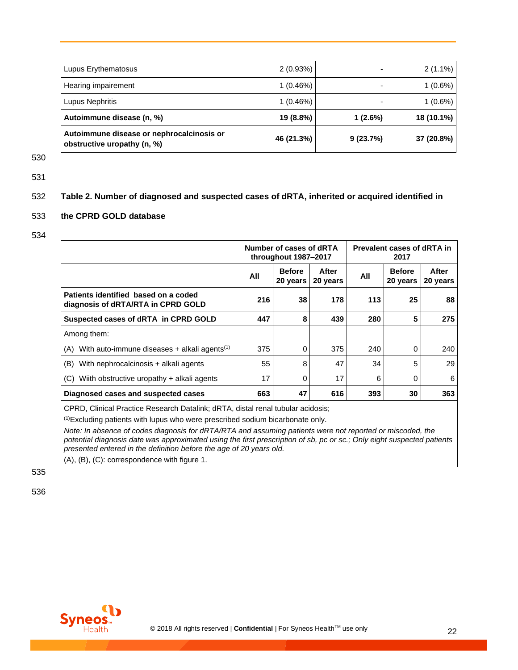| Lupus Erythematosus                                                      | 2(0.93%)    |          | $2(1.1\%)$ |
|--------------------------------------------------------------------------|-------------|----------|------------|
| Hearing impairement                                                      | $1(0.46\%)$ |          | $1(0.6\%)$ |
| Lupus Nephritis                                                          | $1(0.46\%)$ |          | $1(0.6\%)$ |
| Autoimmune disease (n, %)                                                | 19 (8.8%)   | 1(2.6%)  | 18 (10.1%) |
| Autoimmune disease or nephrocalcinosis or<br>obstructive uropathy (n, %) | 46 (21.3%)  | 9(23.7%) | 37 (20.8%) |

530

531

## 532 **Table 2. Number of diagnosed and suspected cases of dRTA, inherited or acquired identified in**

## 533 **the CPRD GOLD database**

534

|                                                                            | Number of cases of dRTA<br>throughout 1987-2017 |                           | Prevalent cases of dRTA in<br>2017 |     |                           |                   |
|----------------------------------------------------------------------------|-------------------------------------------------|---------------------------|------------------------------------|-----|---------------------------|-------------------|
|                                                                            | All                                             | <b>Before</b><br>20 years | After<br>20 years                  | All | <b>Before</b><br>20 years | After<br>20 years |
| Patients identified based on a coded<br>diagnosis of dRTA/RTA in CPRD GOLD | 216                                             | 38                        | 178                                | 113 | 25                        | 88                |
| Suspected cases of dRTA in CPRD GOLD                                       | 447                                             | 8                         | 439                                | 280 | 5                         | 275               |
| Among them:                                                                |                                                 |                           |                                    |     |                           |                   |
| $(A)$ With auto-immune diseases + alkali agents <sup>(1)</sup>             | 375                                             | $\Omega$                  | 375                                | 240 | $\Omega$                  | 240               |
| (B)<br>With nephrocalcinosis + alkali agents                               | 55                                              | 8                         | 47                                 | 34  | 5                         | 29                |
| Wiith obstructive uropathy + alkali agents<br>(C)                          | 17                                              | $\Omega$                  | 17                                 | 6   | $\Omega$                  | 6                 |
| Diagnosed cases and suspected cases                                        | 663                                             | 47                        | 616                                | 393 | 30                        | 363               |

CPRD, Clinical Practice Research Datalink; dRTA, distal renal tubular acidosis;

(1)Excluding patients with lupus who were prescribed sodium bicarbonate only.

*Note: In absence of codes diagnosis for dRTA/RTA and assuming patients were not reported or miscoded, the potential diagnosis date was approximated using the first prescription of sb, pc or sc.; Only eight suspected patients presented entered in the definition before the age of 20 years old.*

(A), (B), (C): correspondence with figure 1.

535

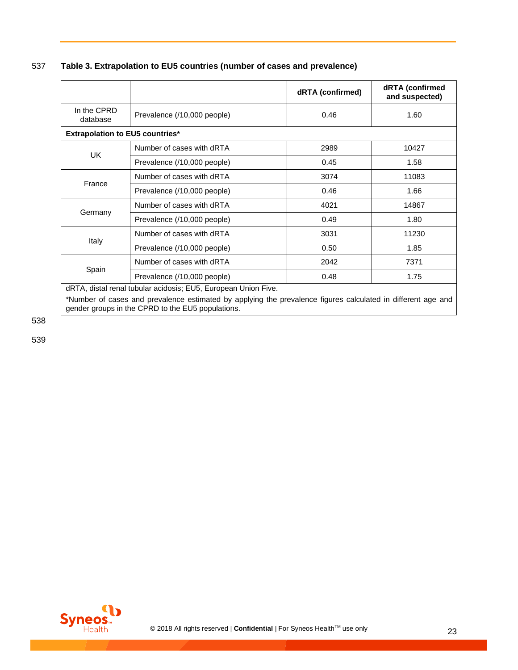537 **Table 3. Extrapolation to EU5 countries (number of cases and prevalence)**

|                                        |                             | dRTA (confirmed) | dRTA (confirmed<br>and suspected) |
|----------------------------------------|-----------------------------|------------------|-----------------------------------|
| In the CPRD<br>database                | Prevalence (/10,000 people) | 0.46             | 1.60                              |
| <b>Extrapolation to EU5 countries*</b> |                             |                  |                                   |
| <b>UK</b>                              | Number of cases with dRTA   | 2989             | 10427                             |
|                                        | Prevalence (/10,000 people) | 0.45             | 1.58                              |
|                                        | Number of cases with dRTA   | 3074             | 11083                             |
| France                                 | Prevalence (/10,000 people) | 0.46             | 1.66                              |
|                                        | Number of cases with dRTA   | 4021             | 14867                             |
| Germany                                | Prevalence (/10,000 people) | 0.49             | 1.80                              |
|                                        | Number of cases with dRTA   | 3031             | 11230                             |
| Italy                                  | Prevalence (/10,000 people) | 0.50             | 1.85                              |
|                                        | Number of cases with dRTA   | 2042             | 7371                              |
| Spain                                  | Prevalence (/10,000 people) | 0.48             | 1.75                              |

dRTA, distal renal tubular acidosis; EU5, European Union Five.

\*Number of cases and prevalence estimated by applying the prevalence figures calculated in different age and gender groups in the CPRD to the EU5 populations.

538

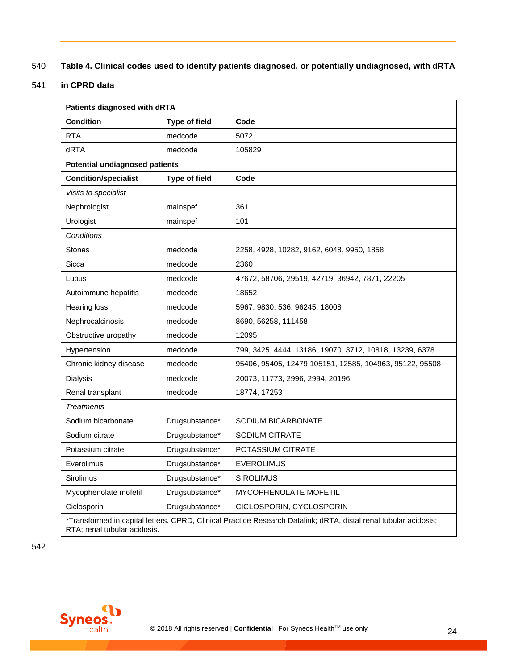## 540 **Table 4. Clinical codes used to identify patients diagnosed, or potentially undiagnosed, with dRTA**

## 541 **in CPRD data**

| <b>Patients diagnosed with dRTA</b>                                                                                                              |                |                                                         |  |  |
|--------------------------------------------------------------------------------------------------------------------------------------------------|----------------|---------------------------------------------------------|--|--|
| <b>Condition</b>                                                                                                                                 | Type of field  | Code                                                    |  |  |
| <b>RTA</b>                                                                                                                                       | medcode        | 5072                                                    |  |  |
| dRTA                                                                                                                                             | medcode        | 105829                                                  |  |  |
| <b>Potential undiagnosed patients</b>                                                                                                            |                |                                                         |  |  |
| <b>Condition/specialist</b>                                                                                                                      | Type of field  | Code                                                    |  |  |
| Visits to specialist                                                                                                                             |                |                                                         |  |  |
| Nephrologist                                                                                                                                     | mainspef       | 361                                                     |  |  |
| Urologist                                                                                                                                        | mainspef       | 101                                                     |  |  |
| Conditions                                                                                                                                       |                |                                                         |  |  |
| Stones                                                                                                                                           | medcode        | 2258, 4928, 10282, 9162, 6048, 9950, 1858               |  |  |
| Sicca                                                                                                                                            | medcode        | 2360                                                    |  |  |
| Lupus                                                                                                                                            | medcode        | 47672, 58706, 29519, 42719, 36942, 7871, 22205          |  |  |
| Autoimmune hepatitis                                                                                                                             | medcode        | 18652                                                   |  |  |
| <b>Hearing loss</b>                                                                                                                              | medcode        | 5967, 9830, 536, 96245, 18008                           |  |  |
| Nephrocalcinosis                                                                                                                                 | medcode        | 8690, 56258, 111458                                     |  |  |
| Obstructive uropathy                                                                                                                             | medcode        | 12095                                                   |  |  |
| Hypertension                                                                                                                                     | medcode        | 799, 3425, 4444, 13186, 19070, 3712, 10818, 13239, 6378 |  |  |
| Chronic kidney disease                                                                                                                           | medcode        | 95406, 95405, 12479 105151, 12585, 104963, 95122, 95508 |  |  |
| Dialysis                                                                                                                                         | medcode        | 20073, 11773, 2996, 2994, 20196                         |  |  |
| Renal transplant                                                                                                                                 | medcode        | 18774, 17253                                            |  |  |
| <b>Treatments</b>                                                                                                                                |                |                                                         |  |  |
| Sodium bicarbonate                                                                                                                               | Drugsubstance* | SODIUM BICARBONATE                                      |  |  |
| Sodium citrate                                                                                                                                   | Drugsubstance* | SODIUM CITRATE                                          |  |  |
| Potassium citrate                                                                                                                                | Drugsubstance* | POTASSIUM CITRATE                                       |  |  |
| Everolimus                                                                                                                                       | Drugsubstance* | <b>EVEROLIMUS</b>                                       |  |  |
| <b>Sirolimus</b>                                                                                                                                 | Drugsubstance* | <b>SIROLIMUS</b>                                        |  |  |
| Mycophenolate mofetil                                                                                                                            | Drugsubstance* | <b>MYCOPHENOLATE MOFETIL</b>                            |  |  |
| Ciclosporin                                                                                                                                      | Drugsubstance* | CICLOSPORIN, CYCLOSPORIN                                |  |  |
| *Transformed in capital letters. CPRD, Clinical Practice Research Datalink; dRTA, distal renal tubular acidosis;<br>RTA; renal tubular acidosis. |                |                                                         |  |  |